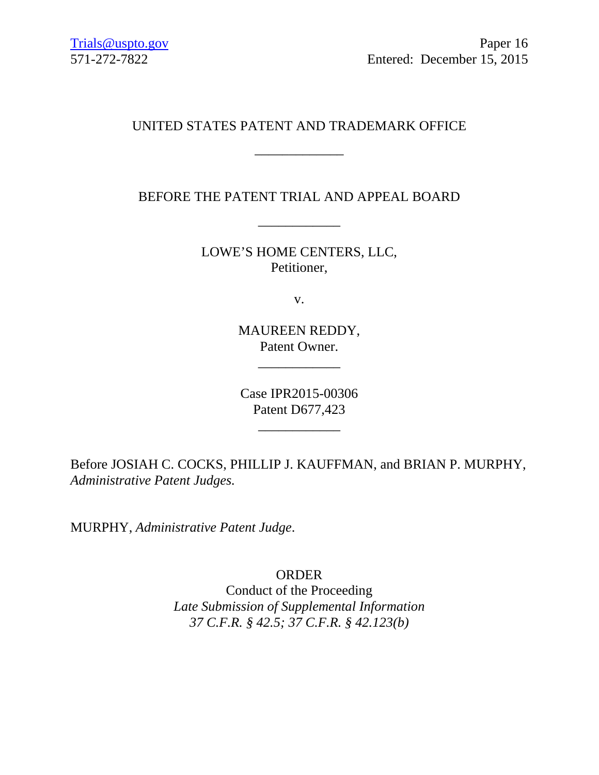# UNITED STATES PATENT AND TRADEMARK OFFICE

\_\_\_\_\_\_\_\_\_\_\_\_\_

BEFORE THE PATENT TRIAL AND APPEAL BOARD

\_\_\_\_\_\_\_\_\_\_\_\_

LOWE'S HOME CENTERS, LLC, Petitioner,

v.

MAUREEN REDDY, Patent Owner.

\_\_\_\_\_\_\_\_\_\_\_\_

Case IPR2015-00306 Patent D677,423

\_\_\_\_\_\_\_\_\_\_\_\_

Before JOSIAH C. COCKS, PHILLIP J. KAUFFMAN, and BRIAN P. MURPHY, *Administrative Patent Judges.*

MURPHY, *Administrative Patent Judge*.

ORDER

Conduct of the Proceeding *Late Submission of Supplemental Information 37 C.F.R. § 42.5; 37 C.F.R. § 42.123(b)*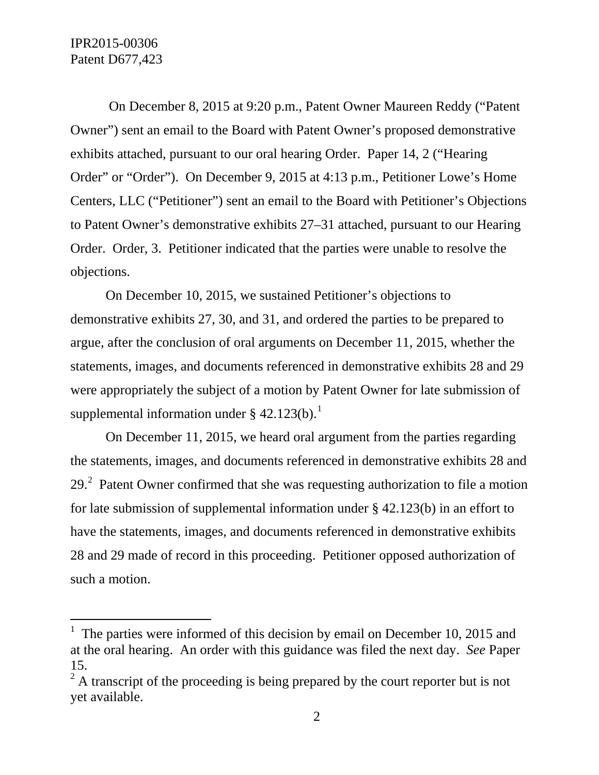On December 8, 2015 at 9:20 p.m., Patent Owner Maureen Reddy ("Patent Owner") sent an email to the Board with Patent Owner's proposed demonstrative exhibits attached, pursuant to our oral hearing Order. Paper 14, 2 ("Hearing Order" or "Order"). On December 9, 2015 at 4:13 p.m., Petitioner Lowe's Home Centers, LLC ("Petitioner") sent an email to the Board with Petitioner's Objections to Patent Owner's demonstrative exhibits 27–31 attached, pursuant to our Hearing Order. Order, 3. Petitioner indicated that the parties were unable to resolve the objections.

On December 10, 2015, we sustained Petitioner's objections to demonstrative exhibits 27, 30, and 31, and ordered the parties to be prepared to argue, after the conclusion of oral arguments on December 11, 2015, whether the statements, images, and documents referenced in demonstrative exhibits 28 and 29 were appropriately the subject of a motion by Patent Owner for late submission of supplemental information under  $\S$  42.[1](#page-1-0)23(b).<sup>1</sup>

On December 11, 2015, we heard oral argument from the parties regarding the statements, images, and documents referenced in demonstrative exhibits 28 and [2](#page-1-1)9.<sup>2</sup> Patent Owner confirmed that she was requesting authorization to file a motion for late submission of supplemental information under § 42.123(b) in an effort to have the statements, images, and documents referenced in demonstrative exhibits 28 and 29 made of record in this proceeding. Petitioner opposed authorization of such a motion.

<span id="page-1-0"></span> $\frac{1}{1}$  The parties were informed of this decision by email on December 10, 2015 and at the oral hearing. An order with this guidance was filed the next day. *See* Paper 15.

<span id="page-1-1"></span> $^{2}$  A transcript of the proceeding is being prepared by the court reporter but is not yet available.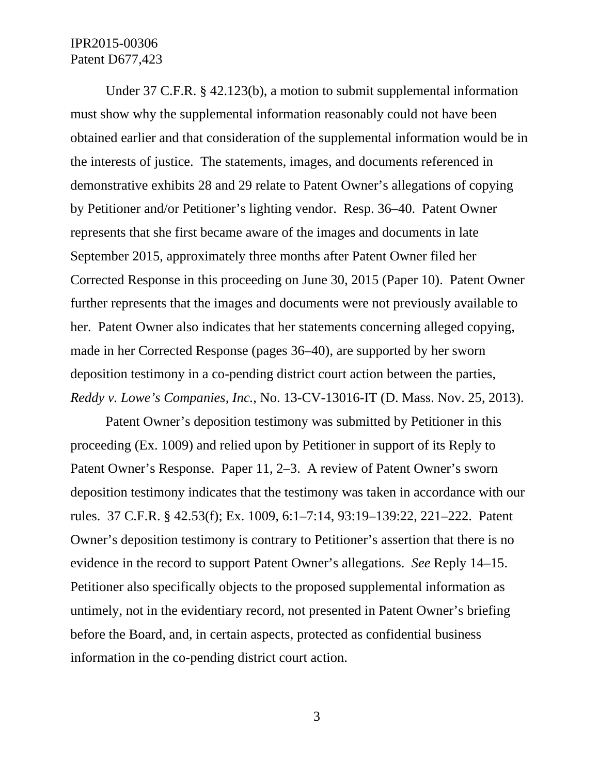### IPR2015-00306 Patent D677,423

Under 37 C.F.R. § 42.123(b), a motion to submit supplemental information must show why the supplemental information reasonably could not have been obtained earlier and that consideration of the supplemental information would be in the interests of justice. The statements, images, and documents referenced in demonstrative exhibits 28 and 29 relate to Patent Owner's allegations of copying by Petitioner and/or Petitioner's lighting vendor. Resp. 36–40. Patent Owner represents that she first became aware of the images and documents in late September 2015, approximately three months after Patent Owner filed her Corrected Response in this proceeding on June 30, 2015 (Paper 10). Patent Owner further represents that the images and documents were not previously available to her. Patent Owner also indicates that her statements concerning alleged copying, made in her Corrected Response (pages 36–40), are supported by her sworn deposition testimony in a co-pending district court action between the parties, *Reddy v. Lowe's Companies, Inc.*, No. 13-CV-13016-IT (D. Mass. Nov. 25, 2013).

Patent Owner's deposition testimony was submitted by Petitioner in this proceeding (Ex. 1009) and relied upon by Petitioner in support of its Reply to Patent Owner's Response. Paper 11, 2–3. A review of Patent Owner's sworn deposition testimony indicates that the testimony was taken in accordance with our rules. 37 C.F.R. § 42.53(f); Ex. 1009, 6:1–7:14, 93:19–139:22, 221–222. Patent Owner's deposition testimony is contrary to Petitioner's assertion that there is no evidence in the record to support Patent Owner's allegations. *See* Reply 14–15. Petitioner also specifically objects to the proposed supplemental information as untimely, not in the evidentiary record, not presented in Patent Owner's briefing before the Board, and, in certain aspects, protected as confidential business information in the co-pending district court action.

3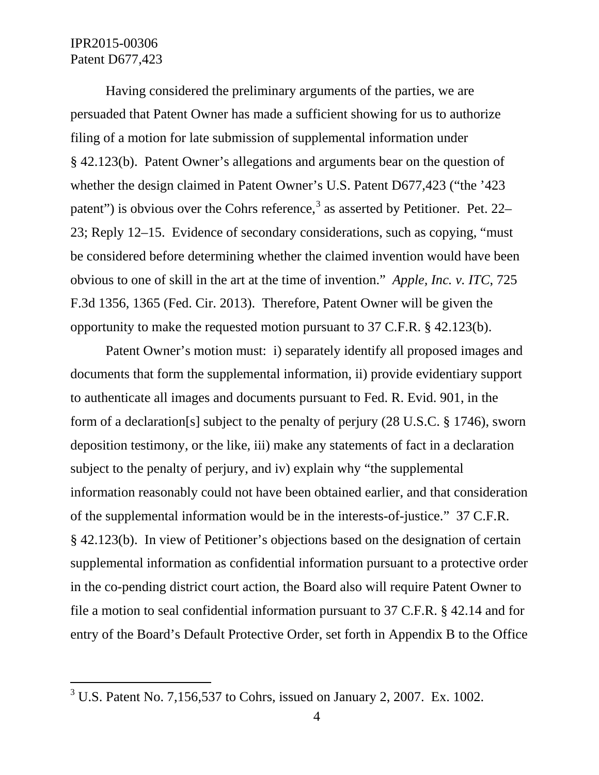## IPR2015-00306 Patent D677,423

Having considered the preliminary arguments of the parties, we are persuaded that Patent Owner has made a sufficient showing for us to authorize filing of a motion for late submission of supplemental information under § 42.123(b). Patent Owner's allegations and arguments bear on the question of whether the design claimed in Patent Owner's U.S. Patent D677,423 ("the '423 patent") is obvious over the Cohrs reference,<sup>[3](#page-3-0)</sup> as asserted by Petitioner. Pet. 22– 23; Reply 12–15. Evidence of secondary considerations, such as copying, "must be considered before determining whether the claimed invention would have been obvious to one of skill in the art at the time of invention." *Apple, Inc. v. ITC*, 725 F.3d 1356, 1365 (Fed. Cir. 2013). Therefore, Patent Owner will be given the opportunity to make the requested motion pursuant to 37 C.F.R. § 42.123(b).

Patent Owner's motion must: i) separately identify all proposed images and documents that form the supplemental information, ii) provide evidentiary support to authenticate all images and documents pursuant to Fed. R. Evid. 901, in the form of a declaration[s] subject to the penalty of perjury (28 U.S.C. § 1746), sworn deposition testimony, or the like, iii) make any statements of fact in a declaration subject to the penalty of perjury, and iv) explain why "the supplemental information reasonably could not have been obtained earlier, and that consideration of the supplemental information would be in the interests-of-justice." 37 C.F.R. § 42.123(b). In view of Petitioner's objections based on the designation of certain supplemental information as confidential information pursuant to a protective order in the co-pending district court action, the Board also will require Patent Owner to file a motion to seal confidential information pursuant to 37 C.F.R. § 42.14 and for entry of the Board's Default Protective Order, set forth in Appendix B to the Office

<span id="page-3-0"></span> $3$  U.S. Patent No. 7,156,537 to Cohrs, issued on January 2, 2007. Ex. 1002.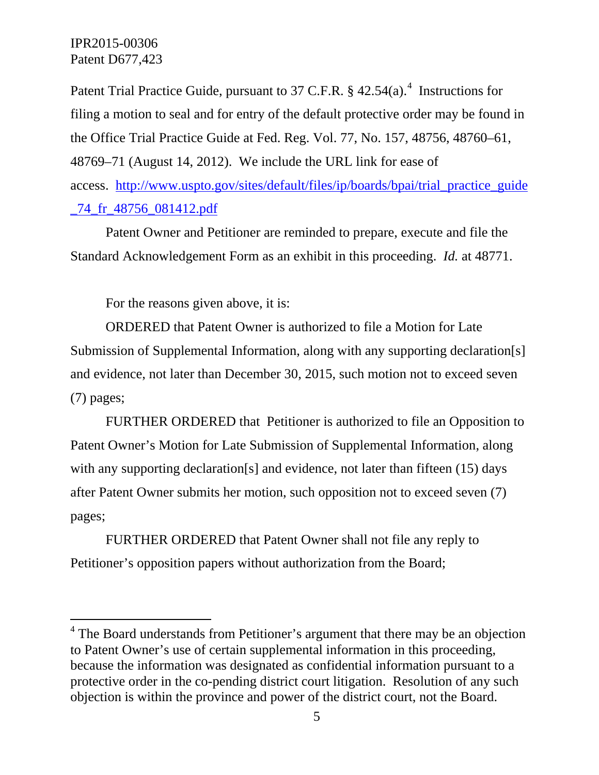### IPR2015-00306 Patent D677,423

Patent Trial Practice Guide, pursuant to 37 C.F.R. § [4](#page-4-0)2.54(a).<sup>4</sup> Instructions for filing a motion to seal and for entry of the default protective order may be found in the Office Trial Practice Guide at Fed. Reg. Vol. 77, No. 157, 48756, 48760–61, 48769–71 (August 14, 2012). We include the URL link for ease of access. [http://www.uspto.gov/sites/default/files/ip/boards/bpai/trial\\_practice\\_guide](http://www.uspto.gov/sites/default/files/ip/boards/bpai/trial_practice_guide_74_fr_48756_081412.pdf) [\\_74\\_fr\\_48756\\_081412.pdf](http://www.uspto.gov/sites/default/files/ip/boards/bpai/trial_practice_guide_74_fr_48756_081412.pdf) 

Patent Owner and Petitioner are reminded to prepare, execute and file the Standard Acknowledgement Form as an exhibit in this proceeding. *Id.* at 48771.

For the reasons given above, it is:

ORDERED that Patent Owner is authorized to file a Motion for Late Submission of Supplemental Information, along with any supporting declaration[s] and evidence, not later than December 30, 2015, such motion not to exceed seven (7) pages;

FURTHER ORDERED that Petitioner is authorized to file an Opposition to Patent Owner's Motion for Late Submission of Supplemental Information, along with any supporting declaration[s] and evidence, not later than fifteen (15) days after Patent Owner submits her motion, such opposition not to exceed seven (7) pages;

FURTHER ORDERED that Patent Owner shall not file any reply to Petitioner's opposition papers without authorization from the Board;

<span id="page-4-0"></span> $4$  The Board understands from Petitioner's argument that there may be an objection to Patent Owner's use of certain supplemental information in this proceeding, because the information was designated as confidential information pursuant to a protective order in the co-pending district court litigation. Resolution of any such objection is within the province and power of the district court, not the Board.